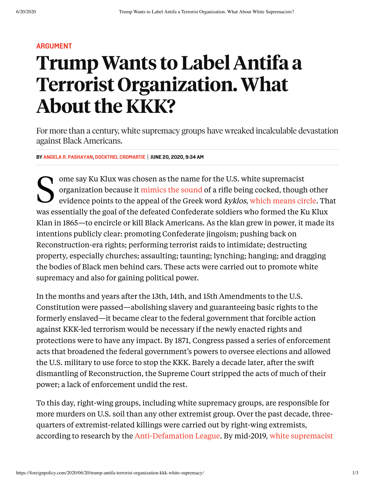## **[ARGUMENT](https://foreignpolicy.com/category/analysis/argument/)**

## Trump Wants to Label Antifa a Terrorist Organization.What About the KKK?

For more than a century, white supremacy groups have wreaked incalculable devastation against Black Americans.

**BY ANGELA R. [PASHAYAN,](https://foreignpolicy.com/author/angela-r-pashayan/) DOCKTREL [CROMARTIE](https://foreignpolicy.com/author/docktrel-cromartie/) | JUNE 20, 2020, 9:34 AM**

S & ome say Ku Klux was chosen as the name for the U.S. white supremacist organization because it [mimics](https://www.theguardian.com/notesandqueries/query/0,5753,-4726,00.html) the sound of a rifle being cocked, though other evidence points to the appeal of the Greek word kyklos, which [means](https://www.history.com/this-day-in-history/kkk-founded) circle. That was essentially the goal of the defeated Confederate soldiers who formed the Ku Klux Klan in 1865—to encircle or kill Black Americans. As the klan grew in power, it made its intentions publicly clear: promoting Confederate jingoism; pushing back on Reconstruction-era rights; performing terrorist raids to intimidate; destructing property, especially churches; assaulting; taunting; lynching; hanging; and dragging the bodies of Black men behind cars. These acts were carried out to promote white supremacy and also for gaining political power.

In the months and years after the 13th, 14th, and 15th Amendments to the U.S. Constitution were passed—abolishing slavery and guaranteeing basic rights to the formerly enslaved—it became clear to the federal government that forcible action against KKK-led terrorism would be necessary if the newly enacted rights and protections were to have any impact. By 1871, Congress passed a series of enforcement acts that broadened the federal government's powers to oversee elections and allowed the U.S. military to use force to stop the KKK. Barely a decade later, after the swift dismantling of Reconstruction, the Supreme Court stripped the acts of much of their power; a lack of enforcement undid the rest.

To this day, right-wing groups, including white supremacy groups, are responsible for more murders on U.S. soil than any other extremist group. Over the past decade, threequarters of extremist-related killings were carried out by right-wing extremists, according to research by the [Anti-Defamation](https://www.adl.org/media/14107/download) League. By mid-2019, white supremacist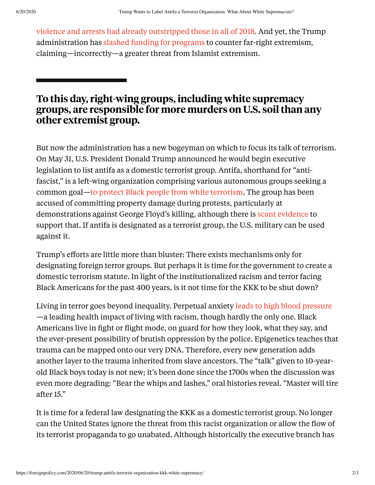violence and arrests had already [outstripped](https://www.independent.co.uk/news/world/americas/white-supremacy-attacks-racism-fbi-arrests-domestic-terrorism-trump-a9017986.html) those in all of 2018. And yet, the Trump administration has slashed funding for [programs](https://www.latimes.com/politics/story/2019-08-05/trump-officials-have-redirected-resources-from-countering-far-right-racism-fueled-domestic-terrorism) to counter far-right extremism, claiming—incorrectly—a greater threat from Islamist extremism.

## To this day, right-wing groups, including white supremacy groups, are responsible for more murders on U.S. soilthan any other extremist group.

But now the administration has a new bogeyman on which to focus its talk of terrorism. On May 31, U.S. President Donald Trump announced he would begin executive legislation to list antifa as a domestic terrorist group. Antifa, shorthand for "antifascist," is a left-wing organization comprising various autonomous groups seeking a common goal—to protect Black people from white [terrorism.](https://www.splcenter.org/hatewatch/2020/06/02/designating-antifa-domestic-terrorist-organization-dangerous-threatens-civil-liberties) The group has been accused of committing property damage during protests, particularly at demonstrations against George Floyd's killing, although there is scant [evidence](https://www.nytimes.com/2020/06/11/us/antifa-protests-george-floyd.html) to support that. If antifa is designated as a terrorist group, the U.S. military can be used against it.

Trump's efforts are little more than bluster: There exists mechanisms only for designating foreign terror groups. But perhaps it is time for the government to create a domestic terrorism statute. In light of the institutionalized racism and terror facing Black Americans for the past 400 years, is it not time for the KKK to be shut down?

Living in terror goes beyond inequality. Perpetual anxiety leads to high blood [pressure](https://www.healthline.com/health-news/stress-high-blood-pressure-african-americans) —a leading health impact of living with racism, though hardly the only one. Black Americans live in fight or flight mode, on guard for how they look, what they say, and the ever-present possibility of brutish oppression by the police. Epigenetics teaches that trauma can be mapped onto our very DNA. Therefore, every new generation adds another layer to the trauma inherited from slave ancestors. The "talk" given to 10-yearold Black boys today is not new; it's been done since the 1700s when the discussion was even more degrading: "Bear the whips and lashes," oral histories reveal. "Master will tire after 15."

It is time for a federal law designating the KKK as a domestic terrorist group. No longer can the United States ignore the threat from this racist organization or allow the flow of its terrorist propaganda to go unabated. Although historically the executive branch has